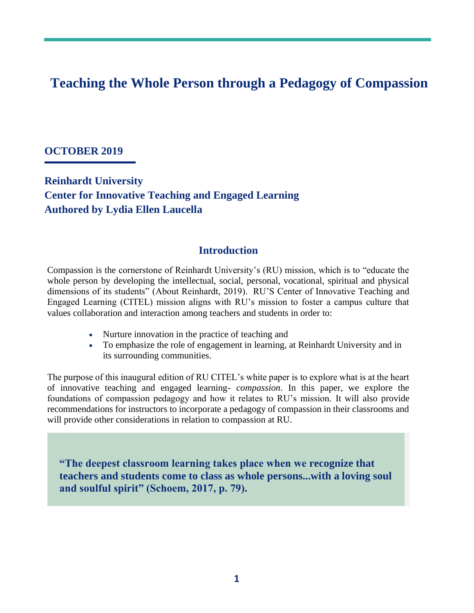# **Teaching the Whole Person through a Pedagogy of Compassion**

#### **OCTOBER 2019**

**Reinhardt University Center for Innovative Teaching and Engaged Learning Authored by Lydia Ellen Laucella**

### **Introduction**

Compassion is the cornerstone of Reinhardt University's (RU) mission, which is to "educate the whole person by developing the intellectual, social, personal, vocational, spiritual and physical dimensions of its students" (About Reinhardt, 2019). RU'S Center of Innovative Teaching and Engaged Learning (CITEL) mission aligns with RU's mission to foster a campus culture that values collaboration and interaction among teachers and students in order to:

- Nurture innovation in the practice of teaching and
- To emphasize the role of engagement in learning, at Reinhardt University and in its surrounding communities.

The purpose of this inaugural edition of RU CITEL's white paper is to explore what is at the heart of innovative teaching and engaged learning- *compassion*. In this paper, we explore the foundations of compassion pedagogy and how it relates to RU's mission. It will also provide recommendations for instructors to incorporate a pedagogy of compassion in their classrooms and will provide other considerations in relation to compassion at RU.

**"The deepest classroom learning takes place when we recognize that teachers and students come to class as whole persons...with a loving soul and soulful spirit" (Schoem, 2017, p. 79).**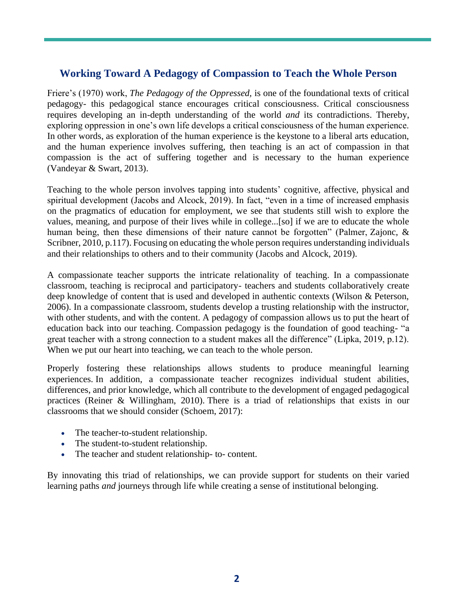## **Working Toward A Pedagogy of Compassion to Teach the Whole Person**

Friere's (1970) work, *The Pedagogy of the Oppressed,* is one of the foundational texts of critical pedagogy- this pedagogical stance encourages critical consciousness. Critical consciousness requires developing an in-depth understanding of the world *and* its contradictions. Thereby, exploring oppression in one's own life develops a critical consciousness of the human experience. In other words, as exploration of the human experience is the keystone to a liberal arts education, and the human experience involves suffering, then teaching is an act of compassion in that compassion is the act of suffering together and is necessary to the human experience (Vandeyar & Swart, 2013).

Teaching to the whole person involves tapping into students' cognitive, affective, physical and spiritual development (Jacobs and Alcock, 2019). In fact, "even in a time of increased emphasis on the pragmatics of education for employment, we see that students still wish to explore the values, meaning, and purpose of their lives while in college...[so] if we are to educate the whole human being, then these dimensions of their nature cannot be forgotten" (Palmer, Zajonc, & Scribner, 2010, p.117). Focusing on educating the whole person requires understanding individuals and their relationships to others and to their community (Jacobs and Alcock, 2019).

A compassionate teacher supports the intricate relationality of teaching. In a compassionate classroom, teaching is reciprocal and participatory- teachers and students collaboratively create deep knowledge of content that is used and developed in authentic contexts (Wilson & Peterson, 2006). In a compassionate classroom, students develop a trusting relationship with the instructor, with other students, and with the content. A pedagogy of compassion allows us to put the heart of education back into our teaching. Compassion pedagogy is the foundation of good teaching- "a great teacher with a strong connection to a student makes all the difference" (Lipka, 2019, p.12). When we put our heart into teaching, we can teach to the whole person.

Properly fostering these relationships allows students to produce meaningful learning experiences. In addition, a compassionate teacher recognizes individual student abilities, differences, and prior knowledge, which all contribute to the development of engaged pedagogical practices (Reiner & Willingham, 2010). There is a triad of relationships that exists in our classrooms that we should consider (Schoem, 2017):

- The teacher-to-student relationship.
- The student-to-student relationship.
- The teacher and student relationship- to- content.

By innovating this triad of relationships, we can provide support for students on their varied learning paths *and* journeys through life while creating a sense of institutional belonging.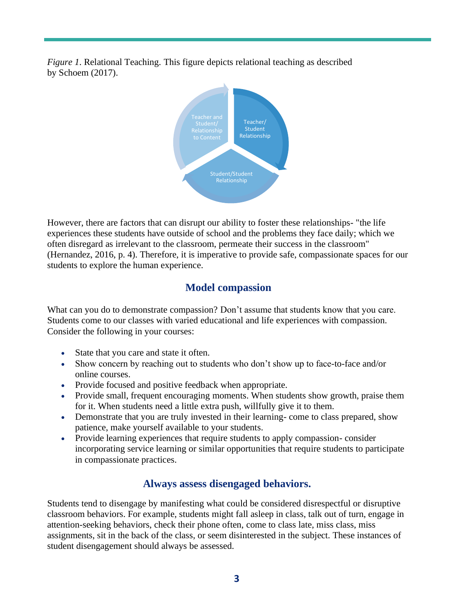*Figure 1*. Relational Teaching. This figure depicts relational teaching as described by Schoem (2017).



However, there are factors that can disrupt our ability to foster these relationships- "the life experiences these students have outside of school and the problems they face daily; which we often disregard as irrelevant to the classroom, permeate their success in the classroom" (Hernandez, 2016, p. 4). Therefore, it is imperative to provide safe, compassionate spaces for our students to explore the human experience.

## **Model compassion**

What can you do to demonstrate compassion? Don't assume that students know that you care. Students come to our classes with varied educational and life experiences with compassion. Consider the following in your courses:

- State that you care and state it often.
- Show concern by reaching out to students who don't show up to face-to-face and/or online courses.
- Provide focused and positive feedback when appropriate.
- Provide small, frequent encouraging moments. When students show growth, praise them for it. When students need a little extra push, willfully give it to them.
- Demonstrate that you are truly invested in their learning- come to class prepared, show patience, make yourself available to your students.
- Provide learning experiences that require students to apply compassion- consider incorporating service learning or similar opportunities that require students to participate in compassionate practices.

## **Always assess disengaged behaviors.**

Students tend to disengage by manifesting what could be considered disrespectful or disruptive classroom behaviors. For example, students might fall asleep in class, talk out of turn, engage in attention-seeking behaviors, check their phone often, come to class late, miss class, miss assignments, sit in the back of the class, or seem disinterested in the subject. These instances of student disengagement should always be assessed.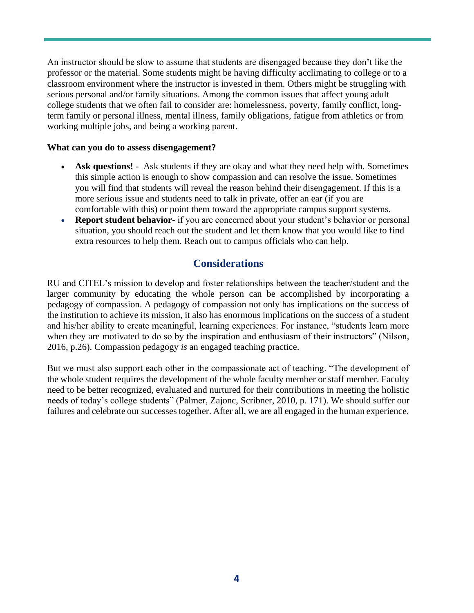An instructor should be slow to assume that students are disengaged because they don't like the professor or the material. Some students might be having difficulty acclimating to college or to a classroom environment where the instructor is invested in them. Others might be struggling with serious personal and/or family situations. Among the common issues that affect young adult college students that we often fail to consider are: homelessness, poverty, family conflict, longterm family or personal illness, mental illness, family obligations, fatigue from athletics or from working multiple jobs, and being a working parent.

#### **What can you do to assess disengagement?**

- **Ask questions!**  Ask students if they are okay and what they need help with. Sometimes this simple action is enough to show compassion and can resolve the issue. Sometimes you will find that students will reveal the reason behind their disengagement. If this is a more serious issue and students need to talk in private, offer an ear (if you are comfortable with this) or point them toward the appropriate campus support systems.
- **Report student behavior-** if you are concerned about your student's behavior or personal situation, you should reach out the student and let them know that you would like to find extra resources to help them. Reach out to campus officials who can help.

### **Considerations**

RU and CITEL's mission to develop and foster relationships between the teacher/student and the larger community by educating the whole person can be accomplished by incorporating a pedagogy of compassion. A pedagogy of compassion not only has implications on the success of the institution to achieve its mission, it also has enormous implications on the success of a student and his/her ability to create meaningful, learning experiences. For instance, "students learn more when they are motivated to do so by the inspiration and enthusiasm of their instructors" (Nilson, 2016, p.26). Compassion pedagogy *is* an engaged teaching practice.

But we must also support each other in the compassionate act of teaching. "The development of the whole student requires the development of the whole faculty member or staff member. Faculty need to be better recognized, evaluated and nurtured for their contributions in meeting the holistic needs of today's college students" (Palmer, Zajonc, Scribner, 2010, p. 171). We should suffer our failures and celebrate our successes together. After all, we are all engaged in the human experience.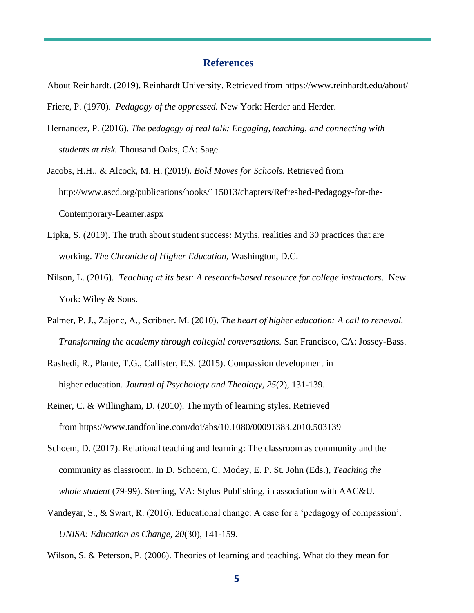#### **References**

About Reinhardt. (2019). Reinhardt University. Retrieved from https://www.reinhardt.edu/about/

Friere, P. (1970). *Pedagogy of the oppressed.* New York: Herder and Herder.

- Hernandez, P. (2016). *The pedagogy of real talk: Engaging, teaching, and connecting with students at risk.* Thousand Oaks, CA: Sage.
- Jacobs, H.H., & Alcock, M. H. (2019). *Bold Moves for Schools.* Retrieved from http://www.ascd.org/publications/books/115013/chapters/Refreshed-Pedagogy-for-the- Contemporary-Learner.aspx
- Lipka, S. (2019). The truth about student success: Myths, realities and 30 practices that are working. *The Chronicle of Higher Education,* Washington, D.C.
- Nilson, L. (2016). *Teaching at its best: A research-based resource for college instructors*. New York: Wiley & Sons.
- Palmer, P. J., Zajonc, A., Scribner. M. (2010). *The heart of higher education: A call to renewal. Transforming the academy through collegial conversations.* San Francisco, CA: Jossey-Bass.
- Rashedi, R., Plante, T.G., Callister, E.S. (2015). Compassion development in higher education. *Journal of Psychology and Theology, 25*(2), 131-139.
- Reiner, C. & Willingham, D. (2010). The myth of learning styles. Retrieved from <https://www.tandfonline.com/doi/abs/10.1080/00091383.2010.503139>
- Schoem, D. (2017). Relational teaching and learning: The classroom as community and the community as classroom. In D. Schoem, C. Modey, E. P. St. John (Eds.), *Teaching the whole student* (79-99). Sterling, VA: Stylus Publishing, in association with AAC&U.
- Vandeyar, S., & Swart, R. (2016). Educational change: A case for a 'pedagogy of compassion'.  *UNISA: Education as Change, 20*(30), 141-159.

Wilson, S. & Peterson, P. (2006). Theories of learning and teaching. What do they mean for